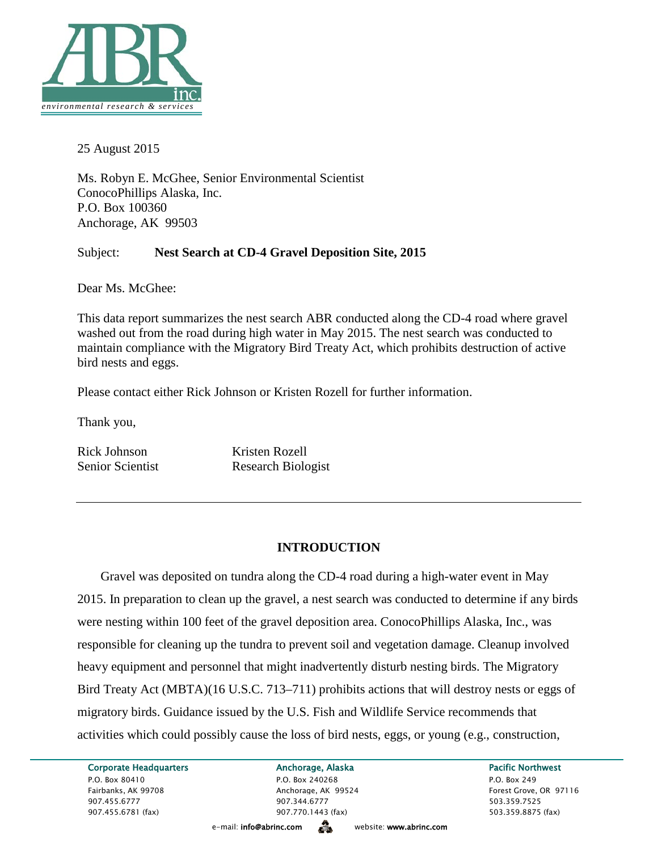

25 August 2015

Ms. Robyn E. McGhee, Senior Environmental Scientist ConocoPhillips Alaska, Inc. P.O. Box 100360 Anchorage, AK 99503

## Subject: **Nest Search at CD-4 Gravel Deposition Site, 2015**

Dear Ms. McGhee:

This data report summarizes the nest search ABR conducted along the CD-4 road where gravel washed out from the road during high water in May 2015. The nest search was conducted to maintain compliance with the Migratory Bird Treaty Act, which prohibits destruction of active bird nests and eggs.

Please contact either Rick Johnson or Kristen Rozell for further information.

Thank you,

Rick Johnson Kristen Rozell

Senior Scientist Research Biologist

# **INTRODUCTION**

Gravel was deposited on tundra along the CD-4 road during a high-water event in May 2015. In preparation to clean up the gravel, a nest search was conducted to determine if any birds were nesting within 100 feet of the gravel deposition area. ConocoPhillips Alaska, Inc., was responsible for cleaning up the tundra to prevent soil and vegetation damage. Cleanup involved heavy equipment and personnel that might inadvertently disturb nesting birds. The Migratory Bird Treaty Act (MBTA)(16 U.S.C. 713–711) prohibits actions that will destroy nests or eggs of migratory birds. Guidance issued by the U.S. Fish and Wildlife Service recommends that activities which could possibly cause the loss of bird nests, eggs, or young (e.g., construction,

Corporate Headquarters **Anchorage, Alaska** Pacific Northwest P.O. Box 80410 P.O. Box 240268 P.O. Box 240268 P.O. Box 249 Fairbanks, AK 99708 Anchorage, AK 99524 Forest Grove, OR 97116 907.455.6777 907.344.6777 503.359.7525 907.455.6781 (fax) 907.770.1443 (fax) 503.359.8875 (fax)

e-mail: info@abrinc.comwebsite: www.abrinc.com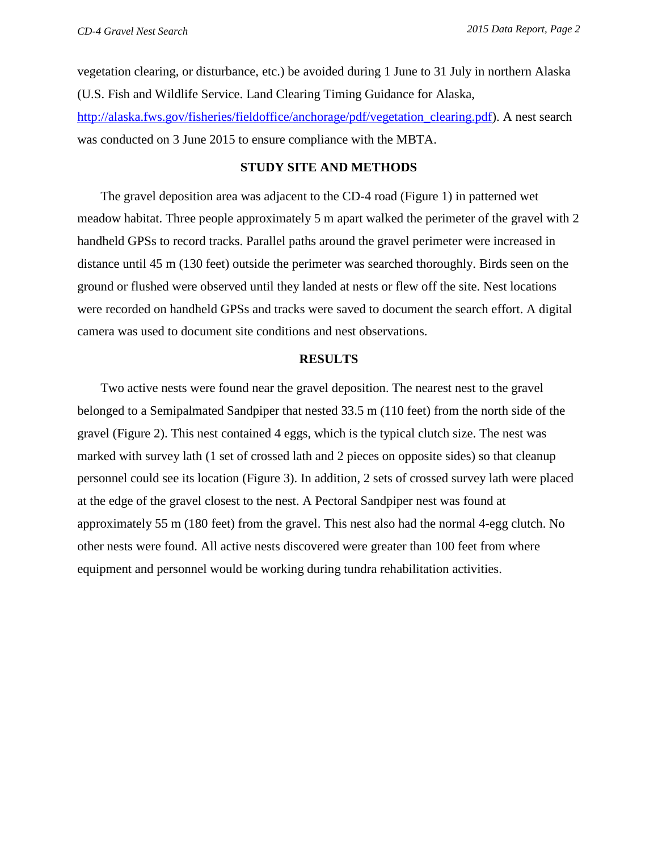vegetation clearing, or disturbance, etc.) be avoided during 1 June to 31 July in northern Alaska (U.S. Fish and Wildlife Service. Land Clearing Timing Guidance for Alaska, [http://alaska.fws.gov/fisheries/fieldoffice/anchorage/pdf/vegetation\\_clearing.pdf\)](http://alaska.fws.gov/fisheries/fieldoffice/anchorage/pdf/vegetation_clearing.pdf). A nest search was conducted on 3 June 2015 to ensure compliance with the MBTA.

### **STUDY SITE AND METHODS**

The gravel deposition area was adjacent to the CD-4 road (Figure 1) in patterned wet meadow habitat. Three people approximately 5 m apart walked the perimeter of the gravel with 2 handheld GPSs to record tracks. Parallel paths around the gravel perimeter were increased in distance until 45 m (130 feet) outside the perimeter was searched thoroughly. Birds seen on the ground or flushed were observed until they landed at nests or flew off the site. Nest locations were recorded on handheld GPSs and tracks were saved to document the search effort. A digital camera was used to document site conditions and nest observations.

### **RESULTS**

Two active nests were found near the gravel deposition. The nearest nest to the gravel belonged to a Semipalmated Sandpiper that nested 33.5 m (110 feet) from the north side of the gravel (Figure 2). This nest contained 4 eggs, which is the typical clutch size. The nest was marked with survey lath (1 set of crossed lath and 2 pieces on opposite sides) so that cleanup personnel could see its location (Figure 3). In addition, 2 sets of crossed survey lath were placed at the edge of the gravel closest to the nest. A Pectoral Sandpiper nest was found at approximately 55 m (180 feet) from the gravel. This nest also had the normal 4-egg clutch. No other nests were found. All active nests discovered were greater than 100 feet from where equipment and personnel would be working during tundra rehabilitation activities.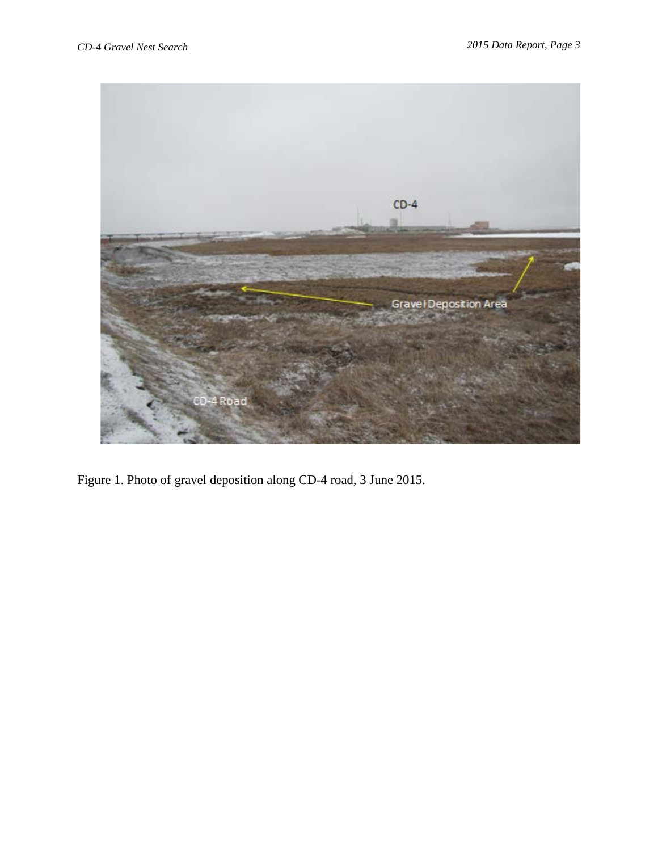

Figure 1. Photo of gravel deposition along CD-4 road, 3 June 2015.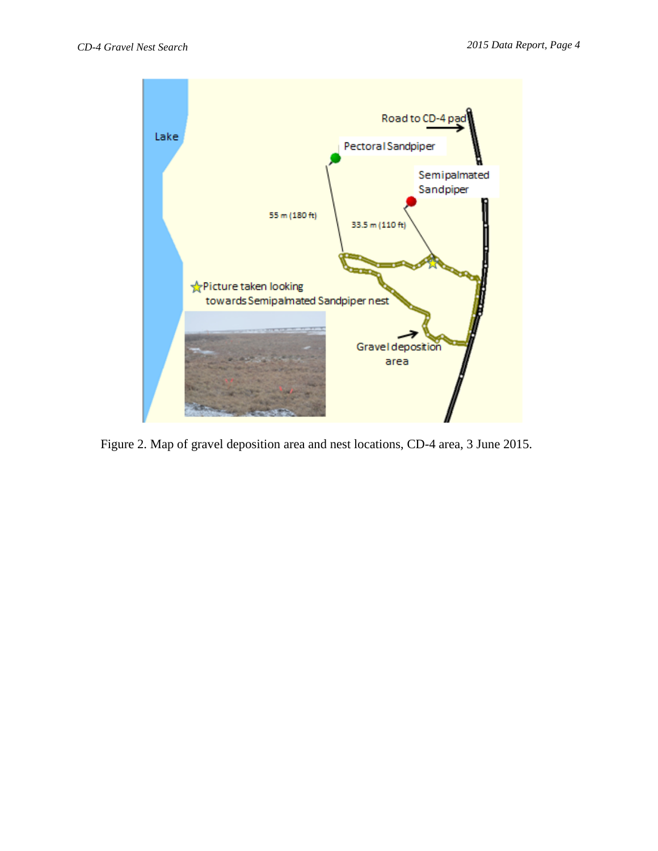

Figure 2. Map of gravel deposition area and nest locations, CD-4 area, 3 June 2015.